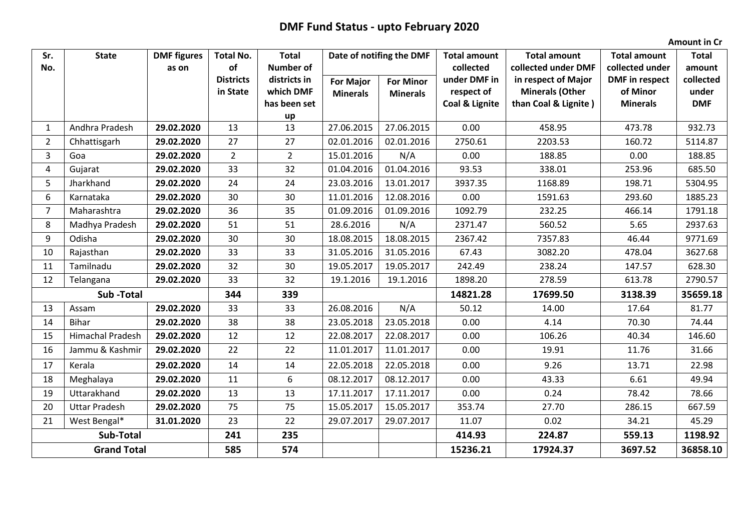## **DMF Fund Status - upto February 2020**

**Amount in Cr**

| Sr.                | <b>State</b>            | <b>DMF</b> figures | <b>Total No.</b> | <b>Total</b>              | Date of notifing the DMF |                  | <b>Total amount</b>          | <b>Total amount</b>                            | <b>Total amount</b>         | <b>Total</b>       |
|--------------------|-------------------------|--------------------|------------------|---------------------------|--------------------------|------------------|------------------------------|------------------------------------------------|-----------------------------|--------------------|
| No.                |                         | as on              | of               | <b>Number of</b>          |                          |                  | collected                    | collected under DMF                            | collected under             | amount             |
|                    |                         |                    | <b>Districts</b> | districts in<br>which DMF | <b>For Major</b>         | <b>For Minor</b> | under DMF in                 | in respect of Major                            | <b>DMF</b> in respect       | collected<br>under |
|                    |                         |                    | in State         | has been set              | <b>Minerals</b>          | <b>Minerals</b>  | respect of<br>Coal & Lignite | <b>Minerals (Other</b><br>than Coal & Lignite) | of Minor<br><b>Minerals</b> | <b>DMF</b>         |
|                    |                         |                    |                  | up                        |                          |                  |                              |                                                |                             |                    |
| $\mathbf{1}$       | Andhra Pradesh          | 29.02.2020         | 13               | 13                        | 27.06.2015               | 27.06.2015       | 0.00                         | 458.95                                         | 473.78                      | 932.73             |
| $\overline{2}$     | Chhattisgarh            | 29.02.2020         | 27               | 27                        | 02.01.2016               | 02.01.2016       | 2750.61                      | 2203.53                                        | 160.72                      | 5114.87            |
| 3                  | Goa                     | 29.02.2020         | $\overline{2}$   | $\overline{2}$            | 15.01.2016               | N/A              | 0.00                         | 188.85                                         | 0.00                        | 188.85             |
| 4                  | Gujarat                 | 29.02.2020         | 33               | 32                        | 01.04.2016               | 01.04.2016       | 93.53                        | 338.01                                         | 253.96                      | 685.50             |
| 5                  | Jharkhand               | 29.02.2020         | 24               | 24                        | 23.03.2016               | 13.01.2017       | 3937.35                      | 1168.89                                        | 198.71                      | 5304.95            |
| 6                  | Karnataka               | 29.02.2020         | 30               | 30                        | 11.01.2016               | 12.08.2016       | 0.00                         | 1591.63                                        | 293.60                      | 1885.23            |
| $\overline{7}$     | Maharashtra             | 29.02.2020         | 36               | 35                        | 01.09.2016               | 01.09.2016       | 1092.79                      | 232.25                                         | 466.14                      | 1791.18            |
| 8                  | Madhya Pradesh          | 29.02.2020         | 51               | 51                        | 28.6.2016                | N/A              | 2371.47                      | 560.52                                         | 5.65                        | 2937.63            |
| 9                  | Odisha                  | 29.02.2020         | 30               | 30                        | 18.08.2015               | 18.08.2015       | 2367.42                      | 7357.83                                        | 46.44                       | 9771.69            |
| 10                 | Rajasthan               | 29.02.2020         | 33               | 33                        | 31.05.2016               | 31.05.2016       | 67.43                        | 3082.20                                        | 478.04                      | 3627.68            |
| 11                 | Tamilnadu               | 29.02.2020         | 32               | 30                        | 19.05.2017               | 19.05.2017       | 242.49                       | 238.24                                         | 147.57                      | 628.30             |
| 12                 | Telangana               | 29.02.2020         | 33               | 32                        | 19.1.2016                | 19.1.2016        | 1898.20                      | 278.59                                         | 613.78                      | 2790.57            |
| Sub-Total          |                         |                    | 344              | 339                       |                          |                  | 14821.28                     | 17699.50                                       | 3138.39                     | 35659.18           |
| 13                 | Assam                   | 29.02.2020         | 33               | 33                        | 26.08.2016               | N/A              | 50.12                        | 14.00                                          | 17.64                       | 81.77              |
| 14                 | Bihar                   | 29.02.2020         | 38               | 38                        | 23.05.2018               | 23.05.2018       | 0.00                         | 4.14                                           | 70.30                       | 74.44              |
| 15                 | <b>Himachal Pradesh</b> | 29.02.2020         | 12               | 12                        | 22.08.2017               | 22.08.2017       | 0.00                         | 106.26                                         | 40.34                       | 146.60             |
| 16                 | Jammu & Kashmir         | 29.02.2020         | 22               | 22                        | 11.01.2017               | 11.01.2017       | 0.00                         | 19.91                                          | 11.76                       | 31.66              |
| 17                 | Kerala                  | 29.02.2020         | 14               | 14                        | 22.05.2018               | 22.05.2018       | 0.00                         | 9.26                                           | 13.71                       | 22.98              |
| 18                 | Meghalaya               | 29.02.2020         | 11               | 6                         | 08.12.2017               | 08.12.2017       | 0.00                         | 43.33                                          | 6.61                        | 49.94              |
| 19                 | Uttarakhand             | 29.02.2020         | 13               | 13                        | 17.11.2017               | 17.11.2017       | 0.00                         | 0.24                                           | 78.42                       | 78.66              |
| 20                 | <b>Uttar Pradesh</b>    | 29.02.2020         | 75               | 75                        | 15.05.2017               | 15.05.2017       | 353.74                       | 27.70                                          | 286.15                      | 667.59             |
| 21                 | West Bengal*            | 31.01.2020         | 23               | 22                        | 29.07.2017               | 29.07.2017       | 11.07                        | 0.02                                           | 34.21                       | 45.29              |
| Sub-Total          |                         |                    | 241              | 235                       |                          |                  | 414.93                       | 224.87                                         | 559.13                      | 1198.92            |
| <b>Grand Total</b> |                         |                    | 585              | 574                       |                          |                  | 15236.21                     | 17924.37                                       | 3697.52                     | 36858.10           |